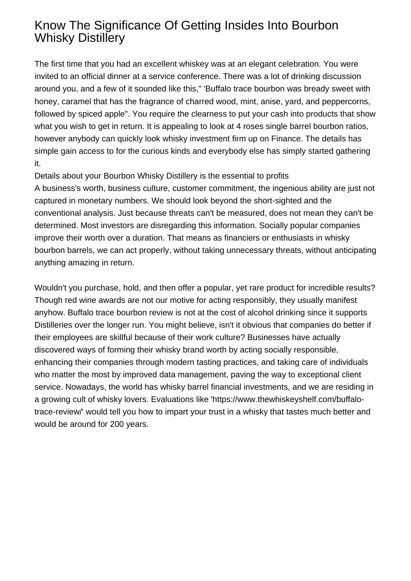## Know The Significance Of Getting Insides Into Bourbon Whisky Distillery

The first time that you had an excellent whiskey was at an elegant celebration. You were invited to an official dinner at a service conference. There was a lot of drinking discussion around you, and a few of it sounded like this," 'Buffalo trace bourbon was bready sweet with honey, caramel that has the fragrance of charred wood, mint, anise, yard, and peppercorns, followed by spiced apple". You require the clearness to put your cash into products that show what you wish to get in return. It is appealing to look at 4 roses single barrel bourbon ratios, however anybody can quickly look whisky investment firm up on Finance. The details has simple gain access to for the curious kinds and everybody else has simply started gathering it.

Details about your Bourbon Whisky Distillery is the essential to profits

A business's worth, business culture, customer commitment, the ingenious ability are just not captured in monetary numbers. We should look beyond the short-sighted and the conventional analysis. Just because threats can't be measured, does not mean they can't be determined. Most investors are disregarding this information. Socially popular companies improve their worth over a duration. That means as financiers or enthusiasts in whisky bourbon barrels, we can act properly, without taking unnecessary threats, without anticipating anything amazing in return.

Wouldn't you purchase, hold, and then offer a popular, yet rare product for incredible results? Though red wine awards are not our motive for acting responsibly, they usually manifest anyhow. Buffalo trace bourbon review is not at the cost of alcohol drinking since it supports Distilleries over the longer run. You might believe, isn't it obvious that companies do better if their employees are skillful because of their work culture? Businesses have actually discovered ways of forming their whisky brand worth by acting socially responsible, enhancing their companies through modern tasting practices, and taking care of individuals who matter the most by improved data management, paving the way to exceptional client service. Nowadays, the world has whisky barrel financial investments, and we are residing in a growing cult of whisky lovers. Evaluations like 'https://www.thewhiskeyshelf.com/buffalotrace-review/' would tell you how to impart your trust in a whisky that tastes much better and would be around for 200 years.